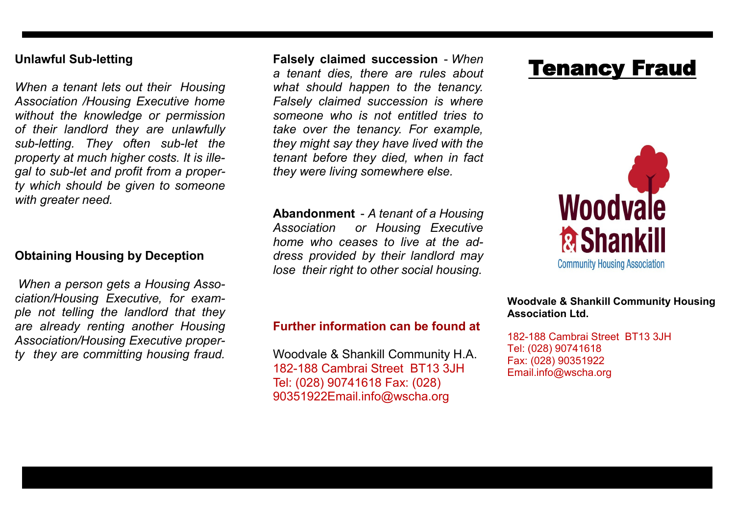### **Unlawful Sub-letting**

*When a tenant lets out their Housing Association /Housing Executive home without the knowledge or permission of their landlord they are unlawfully sub-letting. They often sub-let the property at much higher costs. It is illegal to sub-let and profit from a property which should be given to someone with greater need.* 

## **Obtaining Housing by Deception**

*When a person gets a Housing Association/Housing Executive, for example not telling the landlord that they are already renting another Housing Association/Housing Executive property they are committing housing fraud.* 

**Falsely claimed succession** - *When a tenant dies, there are rules about what should happen to the tenancy. Falsely claimed succession is where someone who is not entitled tries to take over the tenancy. For example, they might say they have lived with the tenant before they died, when in fact they were living somewhere else.* 

**Abandonment** - *A tenant of a Housing Association or Housing Executive home who ceases to live at the address provided by their landlord may lose their right to other social housing.* 

# Tenancy Fraud



#### **Further information can be found at**

Woodvale & Shankill Community H.A. 182-188 Cambrai Street BT13 3JH Tel: (028) 90741618 Fax: (028) 90351922Email.info@wscha.org

**Woodvale & Shankill Community Housing Association Ltd.**

182-188 Cambrai Street BT13 3JH Tel: (028) 90741618 Fax: (028) 90351922 Email.info@wscha.org